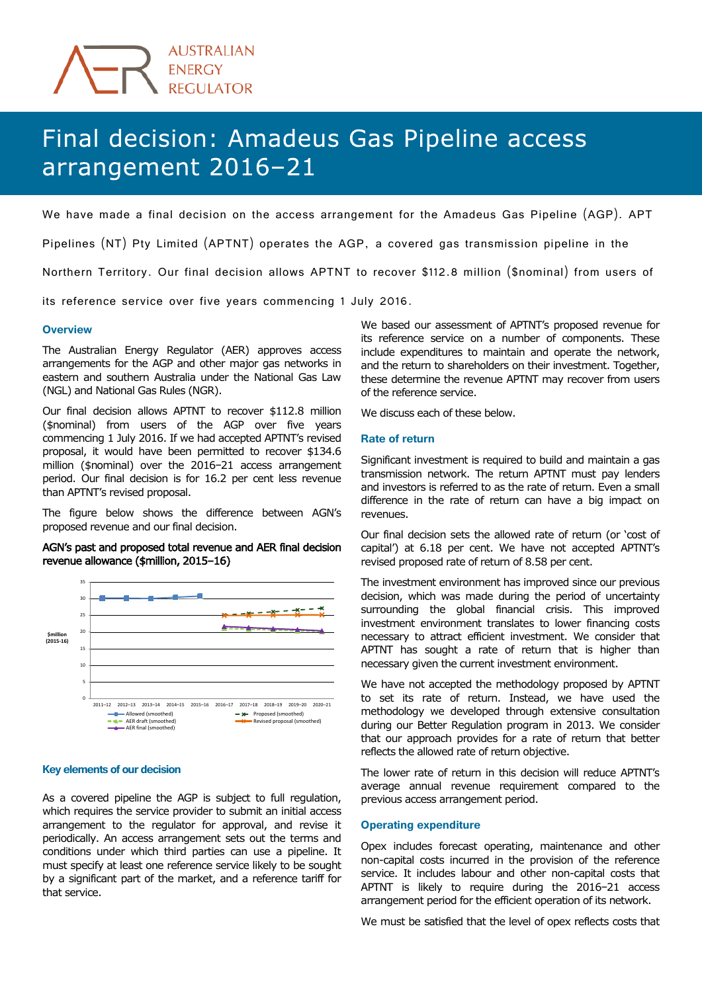# Final decision: Amadeus Gas Pipeline access arrangement 2016-21

We have made a final decision on the access arrangement for the Amadeus Gas Pipeline (AGP). APT

Pipelines (NT) Pty Limited (APTNT) operates the AGP, a covered gas transmission pipeline in the

Northern Territory. Our final decision allows APTNT to recover \$112.8 million (\$nominal) from users of

its reference service over five years commencing 1 July 2016.

### **Overview**

The Australian Energy Regulator (AER) approves access arrangements for the AGP and other major gas networks in eastern and southern Australia under the National Gas Law (NGL) and National Gas Rules (NGR).

Our final decision allows APTNT to recover \$112.8 million (\$nominal) from users of the AGP over five years commencing 1 July 2016. If we had accepted APTNT's revised proposal, it would have been permitted to recover \$134.6 million (\$nominal) over the 2016−21 access arrangement period. Our final decision is for 16.2 per cent less revenue than APTNT's revised proposal.

The figure below shows the difference between AGN's proposed revenue and our final decision.

## AGN's past and proposed total revenue and AER final decision revenue allowance (\$million, 2015–16)



#### **Key elements of our decision**

As a covered pipeline the AGP is subject to full regulation, which requires the service provider to submit an initial access arrangement to the regulator for approval, and revise it periodically. An access arrangement sets out the terms and conditions under which third parties can use a pipeline. It must specify at least one reference service likely to be sought by a significant part of the market, and a reference tariff for that service.

We based our assessment of APTNT's proposed revenue for its reference service on a number of components. These include expenditures to maintain and operate the network, and the return to shareholders on their investment. Together, these determine the revenue APTNT may recover from users of the reference service.

We discuss each of these below.

### **Rate of return**

Significant investment is required to build and maintain a gas transmission network. The return APTNT must pay lenders and investors is referred to as the rate of return. Even a small difference in the rate of return can have a big impact on revenues.

Our final decision sets the allowed rate of return (or 'cost of capital') at 6.18 per cent. We have not accepted APTNT's revised proposed rate of return of 8.58 per cent.

The investment environment has improved since our previous decision, which was made during the period of uncertainty surrounding the global financial crisis. This improved investment environment translates to lower financing costs necessary to attract efficient investment. We consider that APTNT has sought a rate of return that is higher than necessary given the current investment environment.

We have not accepted the methodology proposed by APTNT to set its rate of return. Instead, we have used the methodology we developed through extensive consultation during our Better Regulation program in 2013. We consider that our approach provides for a rate of return that better reflects the allowed rate of return objective.

The lower rate of return in this decision will reduce APTNT's average annual revenue requirement compared to the previous access arrangement period.

### **Operating expenditure**

Opex includes forecast operating, maintenance and other non-capital costs incurred in the provision of the reference service. It includes labour and other non-capital costs that APTNT is likely to require during the 2016−21 access arrangement period for the efficient operation of its network.

We must be satisfied that the level of opex reflects costs that